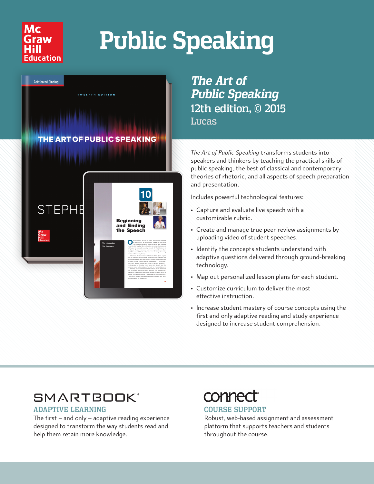

# **Public Speaking**



*The Art of Public Speaking* 12th edition, © 2015 Lucas

*The Art of Public Speaking* transforms students into speakers and thinkers by teaching the practical skills of public speaking, the best of classical and contemporary theories of rhetoric, and all aspects of speech preparation and presentation.

Includes powerful technological features:

- Capture and evaluate live speech with a customizable rubric.
- Create and manage true peer review assignments by uploading video of student speeches.
- Identify the concepts students understand with adaptive questions delivered through ground-breaking technology.
- Map out personalized lesson plans for each student.
- Customize curriculum to deliver the most effective instruction.
- Increase student mastery of course concepts using the first and only adaptive reading and study experience designed to increase student comprehension.

### **SMARTBOOK®**

#### ADAPTIVE LEARNING

The first – and only – adaptive reading experience designed to transform the way students read and help them retain more knowledge.

## conner

#### COURSE SUPPORT

Robust, web-based assignment and assessment platform that supports teachers and students throughout the course.